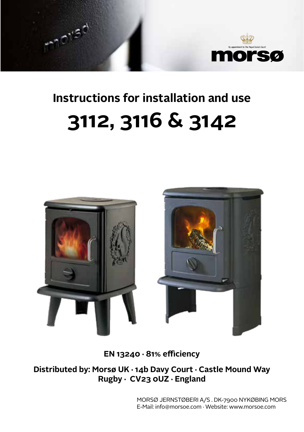

# **Instructions for installation and use 3112, 3116 & 3142**

أهيهم



**EN 13240 · 81% efficiency**

**Distributed by: Morsø UK · 14b Davy Court · Castle Mound Way Rugby · CV23 0UZ · England**

> MORSØ JERNSTØBERI A/S . DK-7900 NYKØBING MORS E-Mail: info@morsoe.com · Website: www.morsoe.com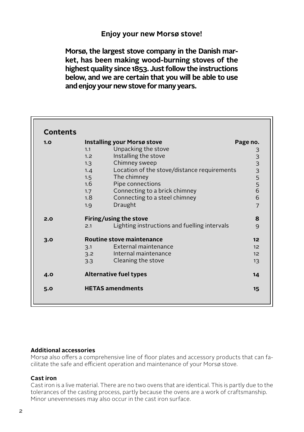#### **Enjoy your new Morsø stove!**

**Morsø, the largest stove company in the Danish market, has been making wood-burning stoves of the highest quality since 1853. Just follow the instructions below, and we are certain that you will be able to use and enjoy your new stove for many years.**

| <b>Contents</b> |                                                     |                |  |
|-----------------|-----------------------------------------------------|----------------|--|
| 1.0             | Installing your Morsø stove                         | Page no.       |  |
|                 | Unpacking the stove<br>1.1                          |                |  |
|                 | Installing the stove<br>1.2                         |                |  |
|                 | Chimney sweep<br>1.3                                |                |  |
|                 | Location of the stove/distance requirements<br>1.4  | 33335566       |  |
|                 | The chimney<br>1.5                                  |                |  |
|                 | Pipe connections<br>1.6                             |                |  |
|                 | Connecting to a brick chimney<br>1.7                |                |  |
|                 | Connecting to a steel chimney<br>1.8                |                |  |
|                 | Draught<br>1.9                                      | $\overline{7}$ |  |
| 2.0             | Firing/using the stove                              | 8              |  |
|                 | Lighting instructions and fuelling intervals<br>2.1 | 9              |  |
| 3.0             | Routine stove maintenance                           |                |  |
|                 | External maintenance<br>3.1                         | 12             |  |
|                 | Internal maintenance<br>3.2                         | 12             |  |
|                 | Cleaning the stove<br>3.3                           | 13             |  |
| 4.0             | <b>Alternative fuel types</b>                       | 14             |  |
| 5.0             | <b>HETAS amendments</b>                             | 15             |  |

#### **Additional accessories**

Morsø also offers a comprehensive line of floor plates and accessory products that can facilitate the safe and efficient operation and maintenance of your Morsø stove.

#### **Cast iron**

Cast iron is a live material. There are no two ovens that are identical. This is partly due to the tolerances of the casting process, partly because the ovens are a work of craftsmanship. Minor unevennesses may also occur in the cast iron surface.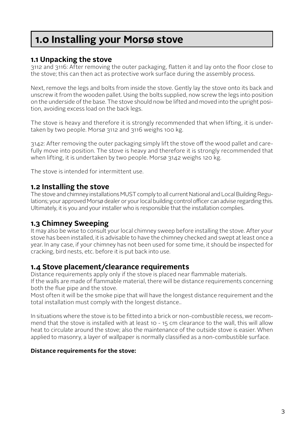### **1.0 Installing your Morsø stove**

#### **1.1 Unpacking the stove**

3112 and 3116: After removing the outer packaging, flatten it and lay onto the floor close to the stove; this can then act as protective work surface during the assembly process.

Next, remove the legs and bolts from inside the stove. Gently lay the stove onto its back and unscrew it from the wooden pallet. Using the bolts supplied, now screw the legs into position on the underside of the base. The stove should now be lifted and moved into the upright position, avoiding excess load on the back legs.

The stove is heavy and therefore it is strongly recommended that when lifting, it is undertaken by two people. Morsø 3112 and 3116 weighs 100 kg.

3142: After removing the outer packaging simply lift the stove off the wood pallet and carefully move into position. The stove is heavy and therefore it is strongly recommended that when lifting, it is undertaken by two people. Morsø 3142 weighs 120 kg.

The stove is intended for intermittent use.

#### **1.2 Installing the stove**

The stove and chimney installations MUST comply to all current National and Local Building Regulations; your approved Morsø dealer or your local building control officer can advise regarding this. Ultimately, it is you and your installer who is responsible that the installation complies.

#### **1.3 Chimney Sweeping**

It may also be wise to consult your local chimney sweep before installing the stove. After your stove has been installed, it is advisable to have the chimney checked and swept at least once a year. In any case, if your chimney has not been used for some time, it should be inspected for cracking, bird nests, etc. before it is put back into use.

#### **1.4 Stove placement/clearance requirements**

Distance requirements apply only if the stove is placed near flammable materials.

If the walls are made of flammable material, there will be distance requirements concerning both the flue pipe and the stove.

Most often it will be the smoke pipe that will have the longest distance requirement and the total installation must comply with the longest distance..

In situations where the stove is to be fitted into a brick or non-combustible recess, we recommend that the stove is installed with at least 10 - 15 cm clearance to the wall, this will allow heat to circulate around the stove; also the maintenance of the outside stove is easier. When applied to masonry, a layer of wallpaper is normally classified as a non-combustible surface.

#### **Distance requirements for the stove:**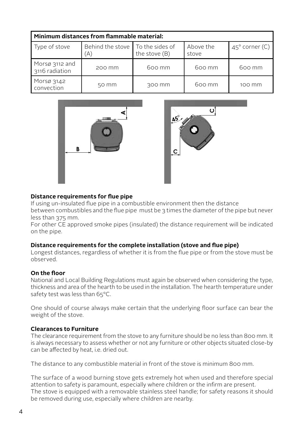| Minimum distances from flammable material: |                                           |               |                    |                         |  |  |  |
|--------------------------------------------|-------------------------------------------|---------------|--------------------|-------------------------|--|--|--|
| Type of stove                              | Behind the stove   To the sides of<br>`A) | the stove (B) | Above the<br>stove | $45^{\circ}$ corner (C) |  |  |  |
| Morsø 3112 and<br>3116 radiation           | 200 mm                                    | 600 mm        | $600 \, \text{mm}$ | $600 \, \text{mm}$      |  |  |  |
| Morsø 3142<br>convection                   | 50 mm                                     | 300 mm        | $600 \, \text{mm}$ | 100 mm                  |  |  |  |





#### Distance requirements for flue pipe

If using un-insulated flue pipe in a combustible environment then the distance between combustibles and the flue pipe must be 3 times the diameter of the pipe but never less than 375 mm. E<br>Catalog **1:10** t<br>E<br>C

For other CE approved smoke pipes (insulated) the distance requirement will be indicated on the pipe.

#### **Distance requirements for the complete installation (stove and flue pipe)**

Longest distances, regardless of whether it is from the flue pipe or from the stove must be observed.

#### **On the floor**

National and Local Building Regulations must again be observed when considering the type, thickness and area of the hearth to be used in the installation. The hearth temperature under safety test was less than 65°C.

One should of course always make certain that the underlying floor surface can bear the weight of the stove.

#### **Clearances to Furniture**

The clearance requirement from the stove to any furniture should be no less than 800 mm. It is always necessary to assess whether or not any furniture or other objects situated close-by can be affected by heat, i.e. dried out.

The distance to any combustible material in front of the stove is minimum 800 mm.

The surface of a wood burning stove gets extremely hot when used and therefore special attention to safety is paramount, especially where children or the infirm are present. The stove is equipped with a removable stainless steel handle; for safety reasons it should be removed during use, especially where children are nearby.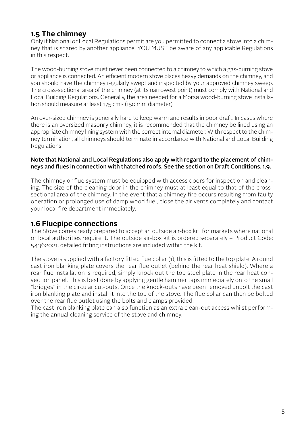#### **1.5 The chimney**

Only if National or Local Regulations permit are you permitted to connect a stove into a chimney that is shared by another appliance. YOU MUST be aware of any applicable Regulations in this respect.

The wood-burning stove must never been connected to a chimney to which a gas-burning stove or appliance is connected. An efficient modern stove places heavy demands on the chimney, and you should have the chimney regularly swept and inspected by your approved chimney sweep. The cross-sectional area of the chimney (at its narrowest point) must comply with National and Local Building Regulations. Generally, the area needed for a Morsø wood-burning stove installation should measure at least 175 cm2 (150 mm diameter).

An over-sized chimney is generally hard to keep warm and results in poor draft. In cases where there is an oversized masonry chimney, it is recommended that the chimney be lined using an appropriate chimney lining system with the correct internal diameter. With respect to the chimney termination, all chimneys should terminate in accordance with National and Local Building Regulations.

#### Note that National and Local Regulations also apply with regard to the placement of chimneys and flues in connection with thatched roofs. See the section on Draft Conditions, 1.9.

The chimney or flue system must be equipped with access doors for inspection and cleaning. The size of the cleaning door in the chimney must at least equal to that of the crosssectional area of the chimney. In the event that a chimney fire occurs resulting from faulty operation or prolonged use of damp wood fuel, close the air vents completely and contact your local fire department immediately.

#### **1.6 Fluepipe connections**

The Stove comes ready prepared to accept an outside air-box kit, for markets where national or local authorities require it. The outside air-box kit is ordered separately – Product Code: 54362021, detailed fitting instructions are included within the kit.

The stove is supplied with a factory fitted flue collar (1), this is fitted to the top plate. A round cast iron blanking plate covers the rear flue outlet (behind the rear heat shield). Where a rear flue installation is required, simply knock out the top steel plate in the rear heat convection panel. This is best done by applying gentle hammer taps immediately onto the small "bridges" in the circular cut-outs. Once the knock-outs have been removed unbolt the cast iron blanking plate and install it into the top of the stove. The flue collar can then be bolted over the rear flue outlet using the bolts and clamps provided.

The cast iron blanking plate can also function as an extra clean-out access whilst performing the annual cleaning service of the stove and chimney.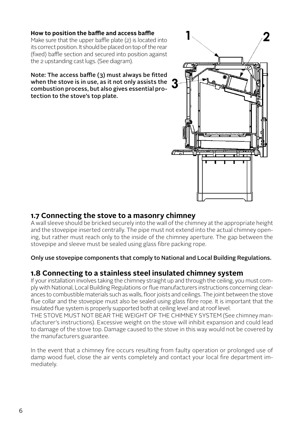#### **How to position the baffle and access baffle**

Make sure that the upper baffle plate (2) is located into its correct position. It should be placed on top of the rear (fixed) baffle section and secured into position against the 2 upstanding cast lugs. (See diagram).

Note: The access baffle (3) must always be fitted when the stove is in use, as it not only assists the combustion process, but also gives essential protection to the stove's top plate.



#### **1.7 Connecting the stove to a masonry chimney**

A wall sleeve should be bricked securely into the wall of the chimney at the appropriate height and the stovepipe inserted centrally. The pipe must not extend into the actual chimney opening, but rather must reach only to the inside of the chimney aperture. The gap between the stovepipe and sleeve must be sealed using glass fibre packing rope.

#### Only use stovepipe components that comply to National and Local Building Regulations.

#### **1.8 Connecting to a stainless steel insulated chimney system**

If your installation involves taking the chimney straight up and through the ceiling, you must comply with National, Local Building Regulations or flue manufacturers instructions concerning clearances to combustible materials such as walls, floor joists and ceilings. The joint between the stove flue collar and the stovepipe must also be sealed using glass fibre rope. It is important that the insulated flue system is properly supported both at ceiling level and at roof level.

THE STOVE MUST NOT BEAR THE WEIGHT OF THE CHIMNEY SYSTEM (See chimney manufacturer's instructions). Excessive weight on the stove will inhibit expansion and could lead to damage of the stove top. Damage caused to the stove in this way would not be covered by the manufacturers guarantee.

In the event that a chimney fire occurs resulting from faulty operation or prolonged use of damp wood fuel, close the air vents completely and contact your local fire department immediately.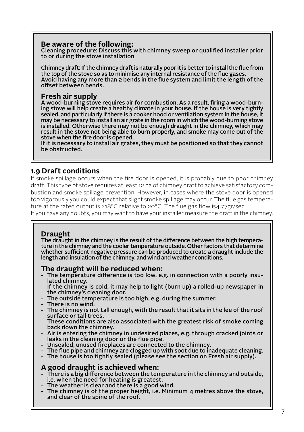#### **Be aware of the following:**

Cleaning procedure: Discuss this with chimney sweep or qualified installer prior to or during the stove installation

Chimney draft: If the chimney draft is naturally poor it is better to install the flue from the top of the stove so as to minimise any internal resistance of the flue gases. Avoid having any more than 2 bends in the flue system and limit the length of the offset between bends.

#### **Fresh air supply**

A wood-burning stove requires air for combustion. As a result, firing a wood-burning stove will help create a healthy climate in your house. If the house is very tightly sealed, and particularly if there is a cooker hood or ventilation system in the house, it may be necessary to install an air grate in the room in which the wood-burning stove is installed. Otherwise there may not be enough draught in the chimney, which may result in the stove not being able to burn properly, and smoke may come out of the stove when the fire door is opened.

If it is necessary to install air grates, they must be positioned so that they cannot be obstructed.

#### **1.9 Draft conditions**

If smoke spillage occurs when the fire door is opened, it is probably due to poor chimney draft. This type of stove requires at least 12 pa of chimney draft to achieve satisfactory combustion and smoke spillage prevention. However, in cases where the stove door is opened too vigorously you could expect that slight smoke spillage may occur. The flue gas temperature at the rated output is  $218^{\circ}$ C relative to  $20^{\circ}$ C. The flue gas flow is $\mu$ .77gr/sec.

If you have any doubts, you may want to have your installer measure the draft in the chimney.

#### **Draught**

The draught in the chimney is the result of the difference between the high temperature in the chimney and the cooler temperature outside. Other factors that determine whether sufficient negative pressure can be produced to create a draught include the length and insulation of the chimney, and wind and weather conditions.

#### **The draught will be reduced when:**

The temperature difference is too low, e.g. in connection with a poorly insulated chimney.

 If the chimney is cold, it may help to light (burn up) a rolled-up newspaper in the chimney's cleaning door.

- The outside temperature is too high, e.g. during the summer.
- There is no wind.
- The chimney is not tall enough, with the result that it sits in the lee of the roof surface or tall trees.

 These conditions are also associated with the greatest risk of smoke coming back down the chimney.

- Air is entering the chimney in undesired places, e.g. through cracked joints or leaks in the cleaning door or the flue pipe.
- Unsealed, unused fireplaces are connected to the chimney.
- The flue pipe and chimney are clogged up with soot due to inadequate cleaning.
- The house is too tightly sealed (please see the section on Fresh air supply).

#### **A good draught is achieved when:**

- There is a big difference between the temperature in the chimney and outside, i.e. when the need for heating is greatest.
- The weather is clear and there is a good wind.
- The chimney is of the proper height, i.e. Minimum 4 metres above the stove, and clear of the spine of the roof.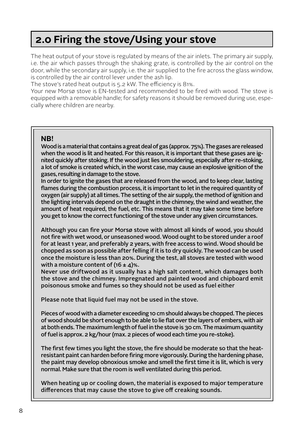### **2.0 Firing the stove/Using your stove**

The heat output of your stove is regulated by means of the air inlets. The primary air supply, i.e. the air which passes through the shaking grate, is controlled by the air control on the door, while the secondary air supply, i.e. the air supplied to the fire across the glass window, is controlled by the air control lever under the ash lip.

The stove's rated heat output is 5.2 kW. The efficiency is 81%.

Your new Morsø stove is EN-tested and recommended to be fired with wood. The stove is equipped with a removable handle; for safety reasons it should be removed during use, especially where children are nearby.

#### **NB!**

Wood is a material that contains a great deal of gas (approx. 75%). The gases are released when the wood is lit and heated. For this reason, it is important that these gases are ignited quickly after stoking. If the wood just lies smouldering, especially after re-stoking, a lot of smoke is created which, in the worst case, may cause an explosive ignition of the gases, resulting in damage to the stove.

In order to ignite the gases that are released from the wood, and to keep clear, lasting flames during the combustion process, it is important to let in the required quantity of oxygen (air supply) at all times. The setting of the air supply, the method of ignition and the lighting intervals depend on the draught in the chimney, the wind and weather, the amount of heat required, the fuel, etc. This means that it may take some time before you get to know the correct functioning of the stove under any given circumstances.

Although you can fire your Morsø stove with almost all kinds of wood, you should not fire with wet wood, or unseasoned wood. Wood ought to be stored under a roof for at least 1 year, and preferably 2 years, with free access to wind. Wood should be chopped as soon as possible after felling if it is to dry quickly. The wood can be used once the moisture is less than 20%. During the test, all stoves are tested with wood with a moisture content of  $(16 \pm 4)\%$ .

Never use driftwood as it usually has a high salt content, which damages both the stove and the chimney. Impregnated and painted wood and chipboard emit poisonous smoke and fumes so they should not be used as fuel either

Please note that liquid fuel may not be used in the stove.

Pieces of wood with a diameter exceeding 10 cm should always be chopped. The pieces of wood should be short enough to be able to lie flat over the layers of embers, with air at both ends. The maximum length of fuel in the stove is 30 cm. The maximum quantity of fuel is approx. 2 kg/hour (max. 2 pieces of wood each time you re-stoke).

The first few times you light the stove, the fire should be moderate so that the heatresistant paint can harden before firing more vigorously. During the hardening phase, the paint may develop obnoxious smoke and smell the first time it is lit, which is very normal. Make sure that the room is well ventilated during this period.

When heating up or cooling down, the material is exposed to major temperature differences that may cause the stove to give off creaking sounds.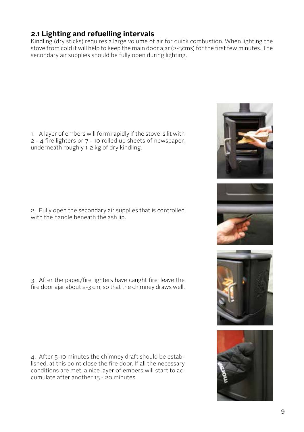#### **2.1 Lighting and refuelling intervals**

Kindling (dry sticks) requires a large volume of air for quick combustion. When lighting the stove from cold it will help to keep the main door ajar (2-3cms) for the first few minutes. The secondary air supplies should be fully open during lighting.

1. A layer of embers will form rapidly if the stove is lit with 2 - 4 fire lighters or 7 - 10 rolled up sheets of newspaper, underneath roughly 1-2 kg of dry kindling.

2. Fully open the secondary air supplies that is controlled with the handle beneath the ash lip.

3. After the paper/fire lighters have caught fire, leave the fire door ajar about 2-3 cm, so that the chimney draws well.

4. After 5-10 minutes the chimney draft should be established, at this point close the fire door. If all the necessary conditions are met, a nice layer of embers will start to accumulate after another 15 - 20 minutes.

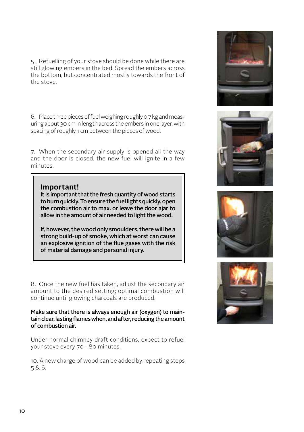5. Refuelling of your stove should be done while there are still glowing embers in the bed. Spread the embers across the bottom, but concentrated mostly towards the front of the stove.

6. Place three pieces of fuel weighing roughly 0.7 kg and measuring about 30 cm in length across the embers in one layer, with spacing of roughly 1 cm between the pieces of wood.

7. When the secondary air supply is opened all the way and the door is closed, the new fuel will ignite in a few minutes.

#### **Important!**

It is important that the fresh quantity of wood starts to burn quickly. To ensure the fuel lights quickly, open the combustion air to max. or leave the door ajar to allow in the amount of air needed to light the wood.

If, however, the wood only smoulders, there will be a strong build-up of smoke, which at worst can cause an explosive ignition of the flue gases with the risk of material damage and personal injury.

8. Once the new fuel has taken, adjust the secondary air amount to the desired setting; optimal combustion will continue until glowing charcoals are produced.

Make sure that there is always enough air (oxygen) to maintain clear, lasting flames when, and after, reducing the amount of combustion air.

Under normal chimney draft conditions, expect to refuel your stove every 70 - 80 minutes.

10. A new charge of wood can be added by repeating steps 5 & 6.







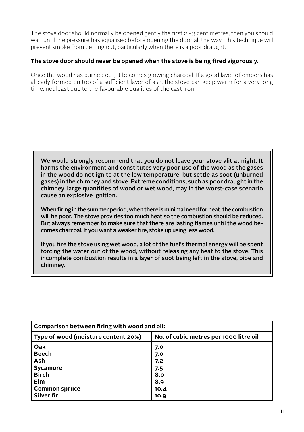The stove door should normally be opened gently the first  $2 - 3$  centimetres, then you should wait until the pressure has equalised before opening the door all the way. This technique will prevent smoke from getting out, particularly when there is a poor draught.

#### **The stove door should never be opened when the stove is being fired vigorously.**

Once the wood has burned out, it becomes glowing charcoal. If a good layer of embers has already formed on top of a sufficient layer of ash, the stove can keep warm for a very long time, not least due to the favourable qualities of the cast iron.

We would strongly recommend that you do not leave your stove alit at night. It harms the environment and constitutes very poor use of the wood as the gases in the wood do not ignite at the low temperature, but settle as soot (unburned gases) in the chimney and stove. Extreme conditions, such as poor draught in the chimney, large quantities of wood or wet wood, may in the worst-case scenario cause an explosive ignition.

When firing in the summer period, when there is minimal need for heat, the combustion will be poor. The stove provides too much heat so the combustion should be reduced. But always remember to make sure that there are lasting flames until the wood becomes charcoal. If you want a weaker fire, stoke up using less wood.

If you fire the stove using wet wood, a lot of the fuel's thermal energy will be spent forcing the water out of the wood, without releasing any heat to the stove. This incomplete combustion results in a layer of soot being left in the stove, pipe and chimney.

| Comparison between firing with wood and oil: |                                        |  |  |  |  |
|----------------------------------------------|----------------------------------------|--|--|--|--|
| Type of wood (moisture content 20%)          | No. of cubic metres per 1000 litre oil |  |  |  |  |
| Oak                                          | 7.0                                    |  |  |  |  |
| <b>Beech</b>                                 | 7.0                                    |  |  |  |  |
| Ash                                          | 7.2                                    |  |  |  |  |
| Sycamore                                     | 7.5                                    |  |  |  |  |
| <b>Birch</b>                                 | 8.0                                    |  |  |  |  |
| Elm                                          | 8.9                                    |  |  |  |  |
| <b>Common spruce</b>                         | 10.4                                   |  |  |  |  |
| Silver fir                                   | 10.9                                   |  |  |  |  |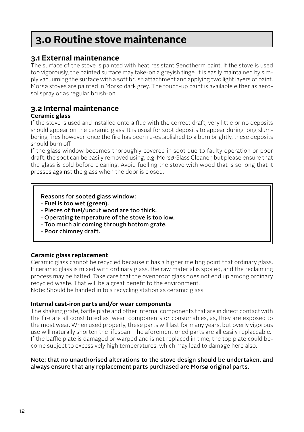### **3.0 Routine stove maintenance**

#### **3.1 External maintenance**

The surface of the stove is painted with heat-resistant Senotherm paint. If the stove is used too vigorously, the painted surface may take-on a greyish tinge. It is easily maintained by simply vacuuming the surface with a soft brush attachment and applying two light layers of paint. Morsø stoves are painted in Morsø dark grey. The touch-up paint is available either as aerosol spray or as regular brush-on.

### **3.2 Internal maintenance**

#### **Ceramic glass**

If the stove is used and installed onto a flue with the correct draft, very little or no deposits should appear on the ceramic glass. It is usual for soot deposits to appear during long slumbering fires however, once the fire has been re-established to a burn brightly, these deposits should burn off.

If the glass window becomes thoroughly covered in soot due to faulty operation or poor draft, the soot can be easily removed using, e.g. Morsø Glass Cleaner, but please ensure that the glass is cold before cleaning. Avoid fuelling the stove with wood that is so long that it presses against the glass when the door is closed.

#### Reasons for sooted glass window:

- Fuel is too wet (green).
- Pieces of fuel/uncut wood are too thick.
- Operating temperature of the stove is too low.
- Too much air coming through bottom grate.
- Poor chimney draft.

#### **Ceramic glass replacement**

Ceramic glass cannot be recycled because it has a higher melting point that ordinary glass. If ceramic glass is mixed with ordinary glass, the raw material is spoiled, and the reclaiming process may be halted. Take care that the ovenproof glass does not end up among ordinary recycled waste. That will be a great benefit to the environment.

Note: Should be handed in to a recycling station as ceramic glass.

#### **Internal cast-iron parts and/or wear components**

The shaking grate, baffle plate and other internal components that are in direct contact with the fire are all constituted as 'wear' components or consumables, as, they are exposed to the most wear. When used properly, these parts will last for many years, but overly vigorous use will naturally shorten the lifespan. The aforementioned parts are all easily replaceable. If the baffle plate is damaged or warped and is not replaced in time, the top plate could become subject to excessively high temperatures, which may lead to damage here also.

#### Note: that no unauthorised alterations to the stove design should be undertaken, and always ensure that any replacement parts purchased are Morsø original parts.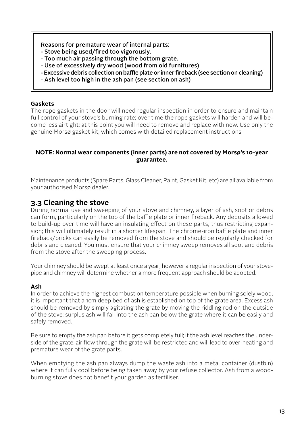#### Reasons for premature wear of internal parts:

- Stove being used/fired too vigorously.
- Too much air passing through the bottom grate.
- Use of excessively dry wood (wood from old furnitures)
- Excessive debris collection on baffle plate or inner fireback (see section on cleaning)
- Ash level too high in the ash pan (see section on ash)

#### **Gaskets**

The rope gaskets in the door will need regular inspection in order to ensure and maintain full control of your stove's burning rate; over time the rope gaskets will harden and will become less airtight; at this point you will need to remove and replace with new. Use only the genuine Morsø gasket kit, which comes with detailed replacement instructions.

#### **NOTE: Normal wear components (inner parts) are not covered by Morsø's 10-year guarantee.**

Maintenance products (Spare Parts, Glass Cleaner, Paint, Gasket Kit, etc) are all available from your authorised Morsø dealer.

#### **3.3 Cleaning the stove**

During normal use and sweeping of your stove and chimney, a layer of ash, soot or debris can form, particularly on the top of the baffle plate or inner fireback. Any deposits allowed to build-up over time will have an insulating effect on these parts, thus restricting expansion; this will ultimately result in a shorter lifespan. The chrome-iron baffle plate and inner fireback/bricks can easily be removed from the stove and should be regularly checked for debris and cleaned. You must ensure that your chimney sweep removes all soot and debris from the stove after the sweeping process.

Your chimney should be swept at least once a year; however a regular inspection of your stovepipe and chimney will determine whether a more frequent approach should be adopted.

#### **Ash**

In order to achieve the highest combustion temperature possible when burning solely wood, it is important that a 1cm deep bed of ash is established on top of the grate area. Excess ash should be removed by simply agitating the grate by moving the riddling rod on the outside of the stove; surplus ash will fall into the ash pan below the grate where it can be easily and safely removed.

Be sure to empty the ash pan before it gets completely full; if the ash level reaches the underside of the grate, air flow through the grate will be restricted and will lead to over-heating and premature wear of the grate parts.

When emptying the ash pan always dump the waste ash into a metal container (dustbin) where it can fully cool before being taken away by your refuse collector. Ash from a woodburning stove does not benefit your garden as fertiliser.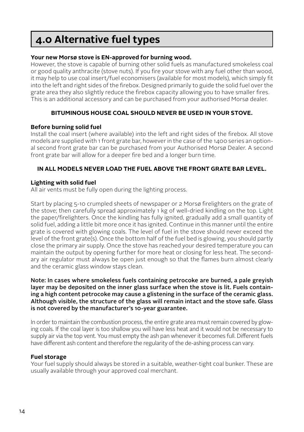### **4.0 Alternative fuel types**

#### **Your new Morsø stove is EN-approved for burning wood.**

However, the stove is capable of burning other solid fuels as manufactured smokeless coal or good quality anthracite (stove nuts). If you fire your stove with any fuel other than wood, it may help to use coal insert/fuel economisers (available for most models), which simply fit into the left and right sides of the firebox. Designed primarily to guide the solid fuel over the grate area they also slightly reduce the firebox capacity allowing you to have smaller fires. This is an additional accessory and can be purchased from your authorised Morsø dealer.

#### **BITUMINOUS HOUSE COAL SHOULD NEVER BE USED IN YOUR STOVE.**

#### **Before burning solid fuel**

Install the coal insert (where available) into the left and right sides of the firebox. All stove models are supplied with 1 front grate bar, however in the case of the 1400 series an optional second front grate bar can be purchased from your Authorised Morsø Dealer. A second front grate bar will allow for a deeper fire bed and a longer burn time.

#### **IN ALL MODELS NEVER LOAD THE FUEL ABOVE THE FRONT GRATE BAR LEVEL.**

#### **Lighting with solid fuel**

All air vents must be fully open during the lighting process.

Start by placing 5-10 crumpled sheets of newspaper or 2 Morsø firelighters on the grate of the stove; then carefully spread approximately 1 kg of well-dried kindling on the top. Light the paper/firelighters. Once the kindling has fully ignited, gradually add a small quantity of solid fuel, adding a little bit more once it has ignited. Continue in this manner until the entire grate is covered with glowing coals. The level of fuel in the stove should never exceed the level of the front grate(s). Once the bottom half of the fuel bed is glowing, you should partly close the primary air supply. Once the stove has reached your desired temperature you can maintain the output by opening further for more heat or closing for less heat. The secondary air regulator must always be open just enough so that the flames burn almost clearly and the ceramic glass window stays clean.

Note: In cases where smokeless fuels containing petrocoke are burned, a pale greyish layer may be deposited on the inner glass surface when the stove is lit. Fuels containing a high content petrocoke may cause a glistening in the surface of the ceramic glass. Although visible, the structure of the glass will remain intact and the stove safe. Glass is not covered by the manufacturer's 10-year guarantee.

In order to maintain the combustion process, the entire grate area must remain covered by glowing coals. If the coal layer is too shallow you will have less heat and it would not be necessary to supply air via the top vent. You must empty the ash pan whenever it becomes full. Different fuels have different ash content and therefore the regularity of the de-ashing process can vary.

#### **Fuel storage**

Your fuel supply should always be stored in a suitable, weather-tight coal bunker. These are usually available through your approved coal merchant.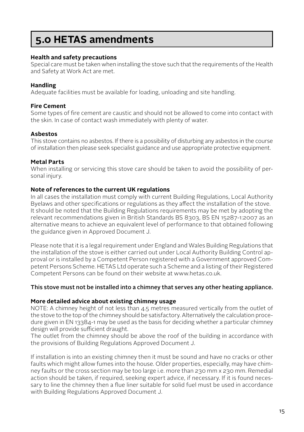### **5.0 HETAS amendments**

#### **Health and safety precautions**

Special care must be taken when installing the stove such that the requirements of the Health and Safety at Work Act are met.

#### **Handling**

Adequate facilities must be available for loading, unloading and site handling.

#### **Fire Cement**

Some types of fire cement are caustic and should not be allowed to come into contact with the skin. In case of contact wash immediately with plenty of water.

#### **Asbestos**

This stove contains no asbestos. If there is a possibility of disturbing any asbestos in the course of installation then please seek specialist guidance and use appropriate protective equipment.

#### **Metal Parts**

When installing or servicing this stove care should be taken to avoid the possibility of personal injury.

#### **Note of references to the current UK regulations**

In all cases the installation must comply with current Building Regulations, Local Authority Byelaws and other specifications or regulations as they affect the installation of the stove. It should be noted that the Building Regulations requirements may be met by adopting the relevant recommendations given in British Standards BS 8303, BS EN 15287-1:2007 as an alternative means to achieve an equivalent level of performance to that obtained following the guidance given in Approved Document J.

Please note that it is a legal requirement under England and Wales Building Regulations that the installation of the stove is either carried out under Local Authority Building Control approval or is installed by a Competent Person registered with a Government approved Competent Persons Scheme. HETAS Ltd operate such a Scheme and a listing of their Registered Competent Persons can be found on their website at www.hetas.co.uk.

#### This stove must not be installed into a chimney that serves any other heating appliance.

#### **More detailed advice about existing chimney usage**

NOTE: A chimney height of not less than 4.5 metres measured vertically from the outlet of the stove to the top of the chimney should be satisfactory. Alternatively the calculation procedure given in EN 13384-1 may be used as the basis for deciding whether a particular chimney design will provide sufficient draught.

The outlet from the chimney should be above the roof of the building in accordance with the provisions of Building Regulations Approved Document J.

If installation is into an existing chimney then it must be sound and have no cracks or other faults which might allow fumes into the house. Older properties, especially, may have chimney faults or the cross section may be too large i.e. more than 230 mm x 230 mm. Remedial action should be taken, if required, seeking expert advice, if necessary. If it is found necessary to line the chimney then a flue liner suitable for solid fuel must be used in accordance with Building Regulations Approved Document J.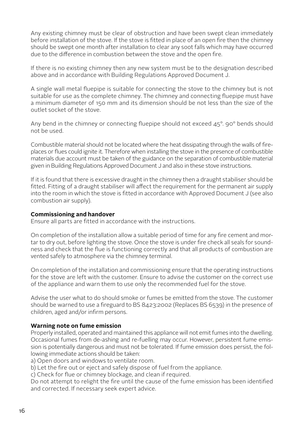Any existing chimney must be clear of obstruction and have been swept clean immediately before installation of the stove. If the stove is fitted in place of an open fire then the chimney should be swept one month after installation to clear any soot falls which may have occurred due to the difference in combustion between the stove and the open fire.

If there is no existing chimney then any new system must be to the designation described above and in accordance with Building Regulations Approved Document J.

A single wall metal fluepipe is suitable for connecting the stove to the chimney but is not suitable for use as the complete chimney. The chimney and connecting fluepipe must have a minimum diameter of 150 mm and its dimension should be not less than the size of the outlet socket of the stove.

Any bend in the chimney or connecting fluepipe should not exceed  $45^\circ$ , 90° bends should not be used.

Combustible material should not be located where the heat dissipating through the walls of fireplaces or flues could ignite it. Therefore when installing the stove in the presence of combustible materials due account must be taken of the guidance on the separation of combustible material given in Building Regulations Approved Document J and also in these stove instructions.

If it is found that there is excessive draught in the chimney then a draught stabiliser should be fitted. Fitting of a draught stabiliser will affect the requirement for the permanent air supply into the room in which the stove is fitted in accordance with Approved Document J (see also combustion air supply).

#### **Commissioning and handover**

Ensure all parts are fitted in accordance with the instructions.

On completion of the installation allow a suitable period of time for any fire cement and mortar to dry out, before lighting the stove. Once the stove is under fire check all seals for soundness and check that the flue is functioning correctly and that all products of combustion are vented safely to atmosphere via the chimney terminal.

On completion of the installation and commissioning ensure that the operating instructions for the stove are left with the customer. Ensure to advise the customer on the correct use of the appliance and warn them to use only the recommended fuel for the stove.

Advise the user what to do should smoke or fumes be emitted from the stove. The customer should be warned to use a fireguard to BS 8423:2002 (Replaces BS 6539) in the presence of children, aged and/or infirm persons.

#### **Warning note on fume emission**

Properly installed, operated and maintained this appliance will not emit fumes into the dwelling. Occasional fumes from de-ashing and re-fuelling may occur. However, persistent fume emission is potentially dangerous and must not be tolerated. If fume emission does persist, the following immediate actions should be taken:

a) Open doors and windows to ventilate room.

b) Let the fire out or eject and safely dispose of fuel from the appliance.

c) Check for flue or chimney blockage, and clean if required.

Do not attempt to relight the fire until the cause of the fume emission has been identified and corrected. If necessary seek expert advice.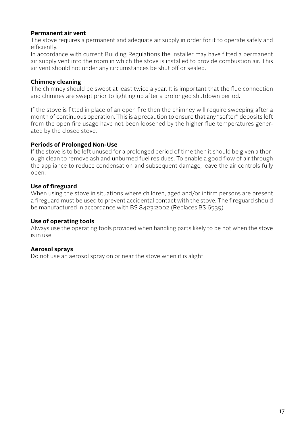#### **Permanent air vent**

The stove requires a permanent and adequate air supply in order for it to operate safely and efficiently.

In accordance with current Building Regulations the installer may have fitted a permanent air supply vent into the room in which the stove is installed to provide combustion air. This air vent should not under any circumstances be shut off or sealed.

#### **Chimney cleaning**

The chimney should be swept at least twice a year. It is important that the flue connection and chimney are swept prior to lighting up after a prolonged shutdown period.

If the stove is fitted in place of an open fire then the chimney will require sweeping after a month of continuous operation. This is a precaution to ensure that any "softer" deposits left from the open fire usage have not been loosened by the higher flue temperatures generated by the closed stove.

#### **Periods of Prolonged Non-Use**

If the stove is to be left unused for a prolonged period of time then it should be given a thorough clean to remove ash and unburned fuel residues. To enable a good flow of air through the appliance to reduce condensation and subsequent damage, leave the air controls fully open.

#### **Use of fireguard**

When using the stove in situations where children, aged and/or infirm persons are present a fireguard must be used to prevent accidental contact with the stove. The fireguard should be manufactured in accordance with BS 8423:2002 (Replaces BS 6539).

#### **Use of operating tools**

Always use the operating tools provided when handling parts likely to be hot when the stove is in use.

#### **Aerosol sprays**

Do not use an aerosol spray on or near the stove when it is alight.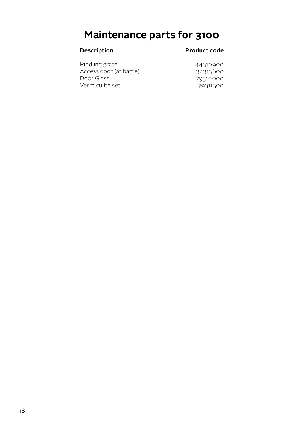## **Maintenance parts for 3100**

#### **Description Product code**

| 44310900 |
|----------|
| 34313600 |
| 79310000 |
| 79311500 |
|          |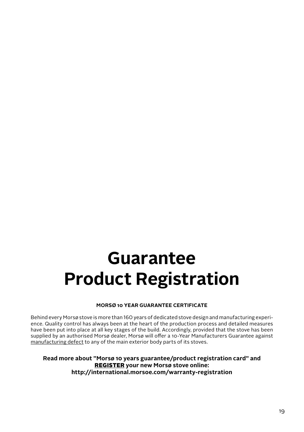# **Guarantee Product Registration**

#### **MORSØ 10 YEAR GUARANTEE CERTIFICATE**

Behind every Morsø stove is more than 160 years of dedicated stove design and manufacturing experience. Quality control has always been at the heart of the production process and detailed measures have been put into place at all key stages of the build. Accordingly, provided that the stove has been supplied by an authorised Morsø dealer, Morsø will offer a 10-Year Manufacturers Guarantee against manufacturing defect to any of the main exterior body parts of its stoves.

**Read more about "Morsø 10 years guarantee/product registration card" and** REGISTER **your new Morsø stove online: http://international.morsoe.com/warranty-registration**